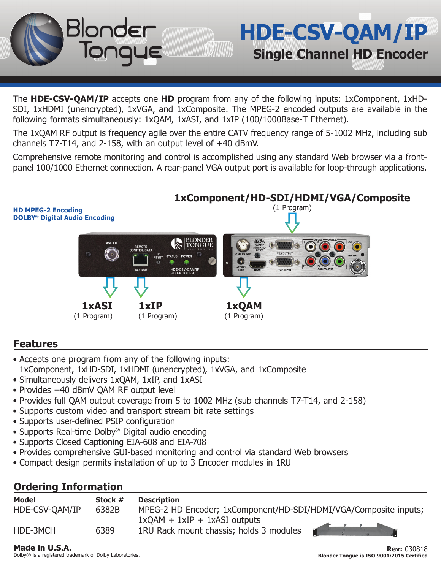The **HDE-CSV-QAM/IP** accepts one **HD** program from any of the following inputs: 1xComponent, 1xHD-SDI, 1xHDMI (unencrypted), 1xVGA, and 1xComposite. The MPEG-2 encoded outputs are available in the following formats simultaneously: 1xQAM, 1xASI, and 1xIP (100/1000Base-T Ethernet).

The 1xQAM RF output is frequency agile over the entire CATV frequency range of 5-1002 MHz, including sub channels T7-T14, and 2-158, with an output level of +40 dBmV.

Comprehensive remote monitoring and control is accomplished using any standard Web browser via a frontpanel 100/1000 Ethernet connection. A rear-panel VGA output port is available for loop-through applications.

# **1xComponent/HD-SDI/HDMI/VGA/Composite**

**HDE-CSV-QAM/IP**

**Single Channel HD Encoder**



# **Features**

- Accepts one program from any of the following inputs: 1xComponent, 1xHD-SDI, 1xHDMI (unencrypted), 1xVGA, and 1xComposite
- 
- Simultaneously delivers 1xQAM, 1xIP, and 1xASI

Blonder

- Provides +40 dBmV QAM RF output level
- Provides full QAM output coverage from 5 to 1002 MHz (sub channels T7-T14, and 2-158)
- Supports custom video and transport stream bit rate settings
- Supports user-defined PSIP configuration
- Supports Real-time Dolby® Digital audio encoding
- Supports Closed Captioning EIA-608 and EIA-708
- Provides comprehensive GUI-based monitoring and control via standard Web browsers
- Compact design permits installation of up to 3 Encoder modules in 1RU

# **Ordering Information**

| Model          | Stock # | <b>Description</b>                                               |
|----------------|---------|------------------------------------------------------------------|
| HDE-CSV-OAM/IP | 6382B   | MPEG-2 HD Encoder; 1xComponent/HD-SDI/HDMI/VGA/Composite inputs; |
|                |         | $1xQAM + 1xIP + 1xASI$ outputs                                   |
| HDE-3MCH       | 6389    | 1RU Rack mount chassis; holds 3 modules                          |

## **Made in U.S.A.**

Dolby® is a registered trademark of Dolby Laboratories.

**Rev:** 030818 **Blonder Tongue is ISO 9001:2015 Certified**